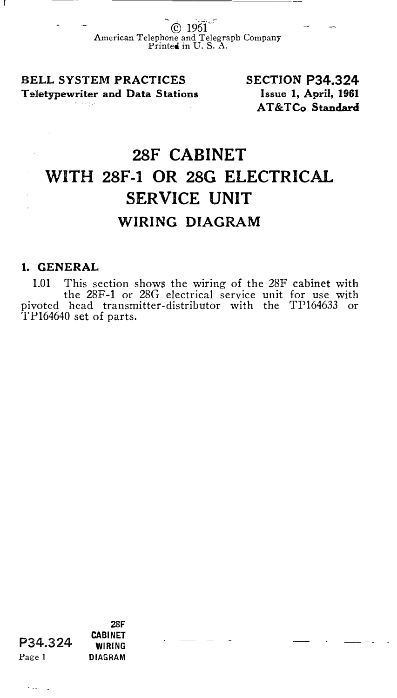© 1961 American Telephone and Telegraph Company Printed in U. S. A.

BELL SYSTEM PRACTICES Teletypewriter and Data Stations SECTION P34.324 Issue 1, April, 1961 AT&TCo Standard

## 28F CABINET WITH 28F-1 OR 28G ELECTRICAL SERVICE UNIT WIRING DIAGRAM

## 1. GENERAL

1.01 This section shows the wiring of the 28F cabinet with the 28F-1 or 28G electrical service unit for use with pivoted head transmitter-distributor with the TP164633 or TP164640 set of parts.

P34.324 28F **CABINET** WIRING Page 1 **DIAGRAM** 

and a street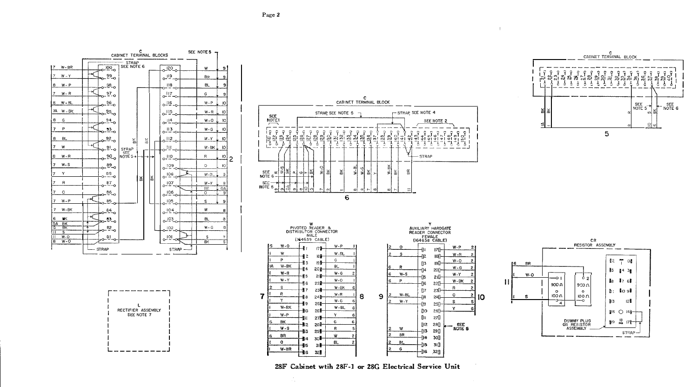











Page 2

28F Cabinet wtih 28F-1 or 28G Electrical Service Unit

8

号6 22

-17 23⊪

—∥в

−19 251

-810  $26<sup>8</sup>$ 

-11 27를

 $-12$ 28종

-813 295

-∰14 30.

 $-115$ -31

−შივ 32

 $24 +$ 

R

 $\mathbf{Y}$ 

 $W - BK$ 

 $W - P$ 

**BK** 

BR

 $\bullet$ 

 $W-S$ 

 $W-BB$ 

 $\overline{\mathbf{r}}$ 

W-BK

 $W-R$ 

 $W - G$ 

 $W - BL$ 

G

 $R$ 

Ŵ

**BL**